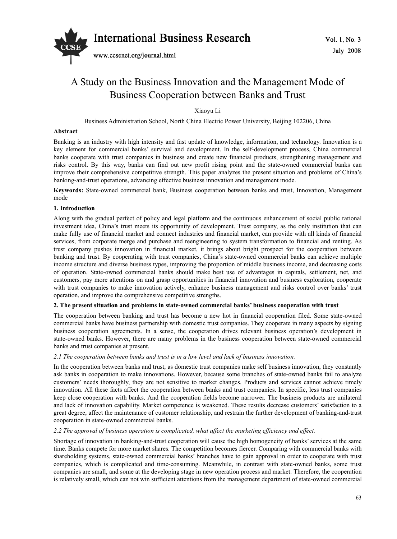

# A Study on the Business Innovation and the Management Mode of Business Cooperation between Banks and Trust

Xiaoyu Li

Business Administration School, North China Electric Power University, Beijing 102206, China

# **Abstract**

Banking is an industry with high intensity and fast update of knowledge, information, and technology. Innovation is a key element for commercial banks' survival and development. In the self-development process, China commercial banks cooperate with trust companies in business and create new financial products, strengthening management and risks control. By this way, banks can find out new profit rising point and the state-owned commercial banks can improve their comprehensive competitive strength. This paper analyzes the present situation and problems of China's banking-and-trust operations, advancing effective business innovation and management mode.

**Keywords:** State-owned commercial bank, Business cooperation between banks and trust, Innovation, Management mode

# **1. Introduction**

Along with the gradual perfect of policy and legal platform and the continuous enhancement of social public rational investment idea, China's trust meets its opportunity of development. Trust company, as the only institution that can make fully use of financial market and connect industries and financial market, can provide with all kinds of financial services, from corporate merge and purchase and reengineering to system transformation to financial and renting. As trust company pushes innovation in financial market, it brings about bright prospect for the cooperation between banking and trust. By cooperating with trust companies, China's state-owned commercial banks can achieve multiple income structure and diverse business types, improving the proportion of middle business income, and decreasing costs of operation. State-owned commercial banks should make best use of advantages in capitals, settlement, net, and customers, pay more attentions on and grasp opportunities in financial innovation and business exploration, cooperate with trust companies to make innovation actively, enhance business management and risks control over banks' trust operation, and improve the comprehensive competitive strengths.

# **2. The present situation and problems in state-owned commercial banks' business cooperation with trust**

The cooperation between banking and trust has become a new hot in financial cooperation filed. Some state-owned commercial banks have business partnership with domestic trust companies. They cooperate in many aspects by signing business cooperation agreements. In a sense, the cooperation drives relevant business operation's development in state-owned banks. However, there are many problems in the business cooperation between state-owned commercial banks and trust companies at present.

# *2.1 The cooperation between banks and trust is in a low level and lack of business innovation.*

In the cooperation between banks and trust, as domestic trust companies make self business innovation, they constantly ask banks in cooperation to make innovations. However, because some branches of state-owned banks fail to analyze customers' needs thoroughly, they are not sensitive to market changes. Products and services cannot achieve timely innovation. All these facts affect the cooperation between banks and trust companies. In specific, less trust companies keep close cooperation with banks. And the cooperation fields become narrower. The business products are unilateral and lack of innovation capability. Market competence is weakened. These results decrease customers' satisfaction to a great degree, affect the maintenance of customer relationship, and restrain the further development of banking-and-trust cooperation in state-owned commercial banks.

# *2.2 The approval of business operation is complicated, what affect the marketing efficiency and effect.*

Shortage of innovation in banking-and-trust cooperation will cause the high homogeneity of banks' services at the same time. Banks compete for more market shares. The competition becomes fiercer. Comparing with commercial banks with shareholding systems, state-owned commercial banks' branches have to gain approval in order to cooperate with trust companies, which is complicated and time-consuming. Meanwhile, in contrast with state-owned banks, some trust companies are small, and some at the developing stage in new operation process and market. Therefore, the cooperation is relatively small, which can not win sufficient attentions from the management department of state-owned commercial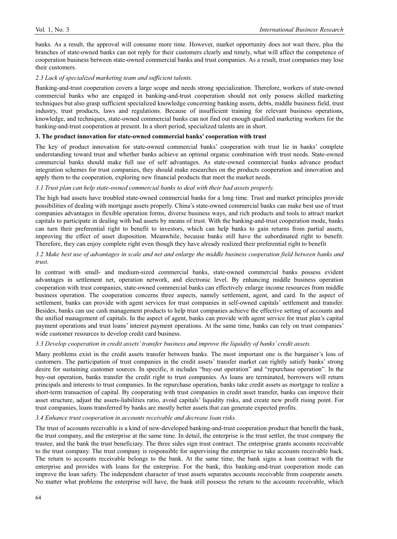banks. As a result, the approval will consume more time. However, market opportunity does not wait there, plus the branches of state-owned banks can not reply for their customers clearly and timely, what will affect the competence of cooperation business between state-owned commercial banks and trust companies. As a result, trust companies may lose their customers.

## *2.3 Lack of specialized marketing team and sufficient talents.*

Banking-and-trust cooperation covers a large scope and needs strong specialization. Therefore, workers of state-owned commercial banks who are engaged in banking-and-trust cooperation should not only possess skilled marketing techniques but also grasp sufficient specialized knowledge concerning banking assets, debts, middle business field, trust industry, trust products, laws and regulations. Because of insufficient training for relevant business operations, knowledge, and techniques, state-owned commercial banks can not find out enough qualified marketing workers for the banking-and-trust cooperation at present. In a short period, specialized talents are in short.

## **3. The product innovation for state-owned commercial banks' cooperation with trust**

The key of product innovation for state-owned commercial banks' cooperation with trust lie in banks' complete understanding toward trust and whether banks achieve an optimal organic combination with trust needs. State-owned commercial banks should make full use of self advantages. As state-owned commercial banks advance product integration schemes for trust companies, they should make researches on the products cooperation and innovation and apply them to the cooperation, exploring new financial products that meet the market needs.

## *3.1 Trust plan can help state-owned commercial banks to deal with their bad assets properly.*

The high bad assets have troubled state-owned commercial banks for a long time. Trust and market principles provide possibilities of dealing with mortgage assets properly. China's state-owned commercial banks can make best use of trust companies advantages in flexible operation forms, diverse business ways, and rich products and tools to attract market capitals to participate in dealing with bad assets by means of trust. With the banking-and-trust cooperation mode, banks can turn their preferential right to benefit to investors, which can help banks to gain returns from partial assets, improving the effect of asset disposition. Meanwhile, because banks still have the subordinated right to benefit. Therefore, they can enjoy complete right even though they have already realized their preferential right to benefit

# *3.2 Make best use of advantages in scale and net and enlarge the middle business cooperation field between banks and trust.*

In contrast with small- and medium-sized commercial banks, state-owned commercial banks possess evident advantages in settlement net, operation network, and electronic level. By enhancing middle business operation cooperation with trust companies, state-owned commercial banks can effectively enlarge income resources from middle business operation. The cooperation concerns three aspects, namely settlement, agent, and card. In the aspect of settlement, banks can provide with agent services for trust companies in self-owned capitals' settlement and transfer. Besides, banks can use cash management products to help trust companies achieve the effective setting of accounts and the unified management of capitals. In the aspect of agent, banks can provide with agent service for trust plan's capital payment operations and trust loans' interest payment operations. At the same time, banks can rely on trust companies' wide customer resources to develop credit card business.

## *3.3 Develop cooperation in credit assets' transfer business and improve the liquidity of banks' credit assets.*

Many problems exist in the credit assets transfer between banks. The most important one is the bargainer's loss of customers. The participation of trust companies in the credit assets' transfer market can rightly satisfy banks' strong desire for sustaining customer sources. In specific, it includes "buy-out operation" and "repurchase operation". In the buy-out operation, banks transfer the credit right to trust companies. As loans are terminated, borrowers will return principals and interests to trust companies. In the repurchase operation, banks take credit assets as mortgage to realize a short-term transaction of capital. By cooperating with trust companies in credit asset transfer, banks can improve their asset structure, adjust the assets-liabilities ratio, avoid capitals' liquidity risks, and create new profit rising point. For trust companies, loans transferred by banks are mostly better assets that can generate expected profits.

## *3.4 Enhance trust cooperation in accounts receivable and decrease loan risks.*

The trust of accounts receivable is a kind of new-developed banking-and-trust cooperation product that benefit the bank, the trust company, and the enterprise at the same time. In detail, the enterprise is the trust settler, the trust company the trustee, and the bank the trust beneficiary. The three sides sign trust contract. The enterprise grants accounts receivable to the trust company. The trust company is responsible for supervising the enterprise to take accounts receivable back. The return to accounts receivable belongs to the bank. At the same time, the bank signs a loan contract with the enterprise and provides with loans for the enterprise. For the bank, this banking-and-trust cooperation mode can improve the loan safety. The independent character of trust assets separates accounts receivable from cooperate assets. No matter what problems the enterprise will have, the bank still possess the return to the accounts receivable, which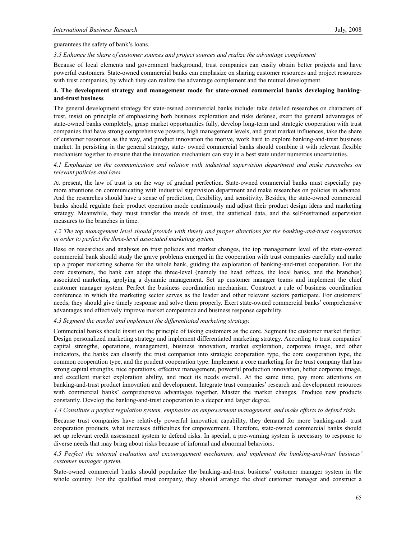## guarantees the safety of bank's loans.

#### *3.5 Enhance the share of customer sources and project sources and realize the advantage complement*

Because of local elements and government background, trust companies can easily obtain better projects and have powerful customers. State-owned commercial banks can emphasize on sharing customer resources and project resources with trust companies, by which they can realize the advantage complement and the mutual development.

# **4. The development strategy and management mode for state-owned commercial banks developing bankingand-trust business**

The general development strategy for state-owned commercial banks include: take detailed researches on characters of trust, insist on principle of emphasizing both business exploration and risks defense, exert the general advantages of state-owned banks completely, grasp market opportunities fully, develop long-term and strategic cooperation with trust companies that have strong comprehensive powers, high management levels, and great market influences, take the share of customer resources as the way, and product innovation the motive, work hard to explore banking-and-trust business market. In persisting in the general strategy, state- owned commercial banks should combine it with relevant flexible mechanism together to ensure that the innovation mechanism can stay in a best state under numerous uncertainties.

## *4.1 Emphasize on the communication and relation with industrial supervision department and make researches on relevant policies and laws.*

At present, the law of trust is on the way of gradual perfection. State-owned commercial banks must especially pay more attentions on communicating with industrial supervision department and make researches on policies in advance. And the researches should have a sense of prediction, flexibility, and sensitivity. Besides, the state-owned commercial banks should regulate their product operation mode continuously and adjust their product design ideas and marketing strategy. Meanwhile, they must transfer the trends of trust, the statistical data, and the self-restrained supervision measures to the branches in time.

# *4.2 The top management level should provide with timely and proper directions for the banking-and-trust cooperation in order to perfect the three-level associated marketing system.*

Base on researches and analyses on trust policies and market changes, the top management level of the state-owned commercial bank should study the grave problems emerged in the cooperation with trust companies carefully and make up a proper marketing scheme for the whole bank, guiding the exploration of banking-and-trust cooperation. For the core customers, the bank can adopt the three-level (namely the head offices, the local banks, and the branches) associated marketing, applying a dynamic management. Set up customer manager teams and implement the chief customer manager system. Perfect the business coordination mechanism. Construct a rule of business coordination conference in which the marketing sector serves as the leader and other relevant sectors participate. For customers' needs, they should give timely response and solve them properly. Exert state-owned commercial banks' comprehensive advantages and effectively improve market competence and business response capability.

## *4.3 Segment the market and implement the differentiated marketing strategy.*

Commercial banks should insist on the principle of taking customers as the core. Segment the customer market further. Design personalized marketing strategy and implement differentiated marketing strategy. According to trust companies' capital strengths, operations, management, business innovation, market exploration, corporate image, and other indicators, the banks can classify the trust companies into strategic cooperation type, the core cooperation type, the common cooperation type, and the prudent cooperation type. Implement a core marketing for the trust company that has strong capital strengths, nice operations, effective management, powerful production innovation, better corporate image, and excellent market exploration ability, and meet its needs overall. At the same time, pay more attentions on banking-and-trust product innovation and development. Integrate trust companies' research and development resources with commercial banks' comprehensive advantages together. Master the market changes. Produce new products constantly. Develop the banking-and-trust cooperation to a deeper and larger degree.

## *4.4 Constitute a perfect regulation system, emphasize on empowerment management, and make efforts to defend risks.*

Because trust companies have relatively powerful innovation capability, they demand for more banking-and- trust cooperation products, what increases difficulties for empowerment. Therefore, state-owned commercial banks should set up relevant credit assessment system to defend risks. In special, a pre-warning system is necessary to response to diverse needs that may bring about risks because of informal and abnormal behaviors.

## *4.5 Perfect the internal evaluation and encouragement mechanism, and implement the banking-and-trust business' customer manager system.*

State-owned commercial banks should popularize the banking-and-trust business' customer manager system in the whole country. For the qualified trust company, they should arrange the chief customer manager and construct a